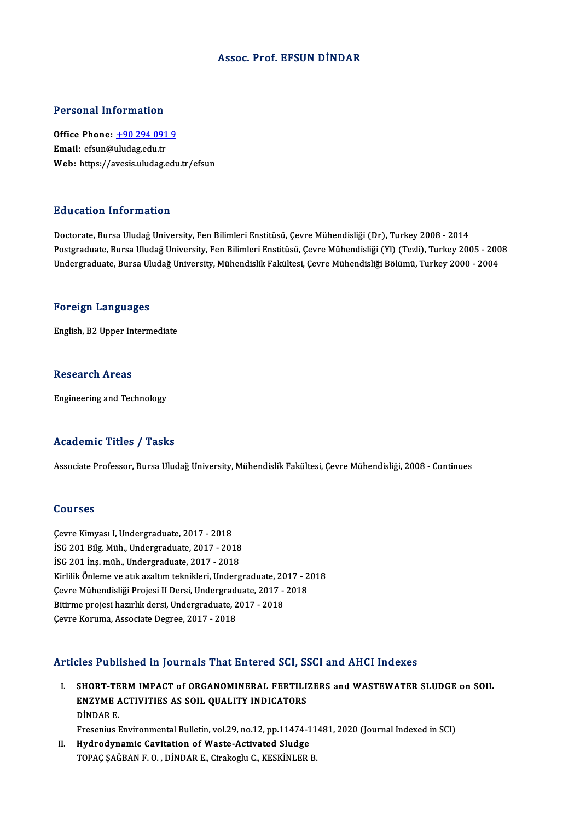#### Assoc. Prof. EFSUN DİNDAR

#### Personal Information

Personal Information<br>Office Phone: <u>+90 294 091 9</u><br>Email: ofsun@uludes.edu.tr Procession and Community<br>Office Phone: <u>+90 294 091</u><br>Email: efsun@[uludag.edu.tr](tel:+90 294 091 9) Email: efsun@uludag.edu.tr<br>Web: https://avesis.uludag.edu.tr/efsun

#### Education Information

Doctorate, Bursa Uludağ University, Fen Bilimleri Enstitüsü, Çevre Mühendisliği (Dr), Turkey 2008 - 2014 Pu u sustsa Timominusion<br>Doctorate, Bursa Uludağ University, Fen Bilimleri Enstitüsü, Çevre Mühendisliği (Dr), Turkey 2008 - 2014<br>Postgraduate, Bursa Uludağ University, Fen Bilimleri Enstitüsü, Çevre Mühendisliği (Yl) (Tez Doctorate, Bursa Uludağ University, Fen Bilimleri Enstitüsü, Çevre Mühendisliği (Dr), Turkey 2008 - 2014<br>Postgraduate, Bursa Uludağ University, Fen Bilimleri Enstitüsü, Çevre Mühendisliği (Yl) (Tezli), Turkey 2005 - 200<br>Un Undergraduate, Bursa Uludağ University, Mühendislik Fakültesi, Çevre Mühendisliği Bölümü, Turkey 2000 - 2004<br>Foreign Languages

English,B2Upper Intermediate

#### **Research Areas**

Engineering and Technology

### Academic Titles / Tasks

Associate Professor, Bursa Uludağ University, Mühendislik Fakültesi, Çevre Mühendisliği, 2008 - Continues

#### Courses

Çevre Kimyası I, Undergraduate, 2017 - 2018 Sourses<br>Çevre Kimyası I, Undergraduate, 2017 - 2018<br>İSG 201 İna müh. Undergraduate, 2017 - 2018<br>İSG 201 İna müh. Undergraduate, 2017 - 2018 Çevre Kimyası I, Undergraduate, 2017 - 2018<br>İSG 201 Bilg. Müh., Undergraduate, 2017 - 2018<br>İSG 201 İnş. müh., Undergraduate, 2017 - 2018<br>Kirlilik Önlame ve atlı araltım telmikleri, Underg İSG 201 Bilg. Müh., Undergraduate, 2017 - 2018<br>İSG 201 İnş. müh., Undergraduate, 2017 - 2018<br>Kirlilik Önleme ve atık azaltım teknikleri, Undergraduate, 2017 - 2018<br>Caure Mühandisliği Projesi II Darsi, Undergraduate, 2017 -İSG 201 İnş. müh., Undergraduate, 2017 - 2018<br>Kirlilik Önleme ve atık azaltım teknikleri, Undergraduate, 2017 - 2<br>Çevre Mühendisliği Projesi II Dersi, Undergraduate, 2017 - 2018<br>Pitirme projesi bazırlık dersi, Undergraduat Kirlilik Önleme ve atık azaltım teknikleri, Undergraduate, 20<br>Çevre Mühendisliği Projesi II Dersi, Undergraduate, 2017 -<br>Bitirme projesi hazırlık dersi, Undergraduate, 2017 - 2018<br>Caure Koruma, Asseciate Degree, 2017 - 201 Çevre Mühendisliği Projesi II Dersi, Undergraduate, 2017 - 2018<br>Bitirme projesi hazırlık dersi, Undergraduate, 2017 - 2018<br>Çevre Koruma, Associate Degree, 2017 - 2018

### Articles Published in Journals That Entered SCI, SSCI and AHCI Indexes

Turnalizer Sublished in Journals That Entered SCI, SSCI and AHCI Indexes<br>I. SHORT-TERM IMPACT of ORGANOMINERAL FERTILIZERS and WASTEWATER SLUDGE on SOIL ENCE I REFIGNOR III JORFINIS TIRE EINCYCR COI, C.<br>SHORT-TERM IMPACT of ORGANOMINERAL FERTILI!<br>ENZYME ACTIVITIES AS SOIL QUALITY INDICATORS SHORT-TE<br>ENZYME A<br>DİNDAR E.<br>Enconius L ENZYME ACTIVITIES AS SOIL QUALITY INDICATORS<br>DINDAR E.<br>Fresenius Environmental Bulletin, vol.29, no.12, pp.11474-11481, 2020 (Journal Indexed in SCI)<br>Hudaodunemie Cevitation of Weste Astivated Sludge DINDAR E.<br>Fresenius Environmental Bulletin, vol.29, no.12, pp.11474-1<br>II. Hydrodynamic Cavitation of Waste-Activated Sludge<br>TOBAC SAČPAN E.O. DINDAR E. Gizalisski G. KESKINLER

Fresenius Environmental Bulletin, vol.29, no.12, pp.11474-11<br><mark>Hydrodynamic Cavitation of Waste-Activated Sludge</mark><br>TOPAÇ ŞAĞBAN F. O. , DİNDAR E., Cirakoglu C., KESKİNLER B.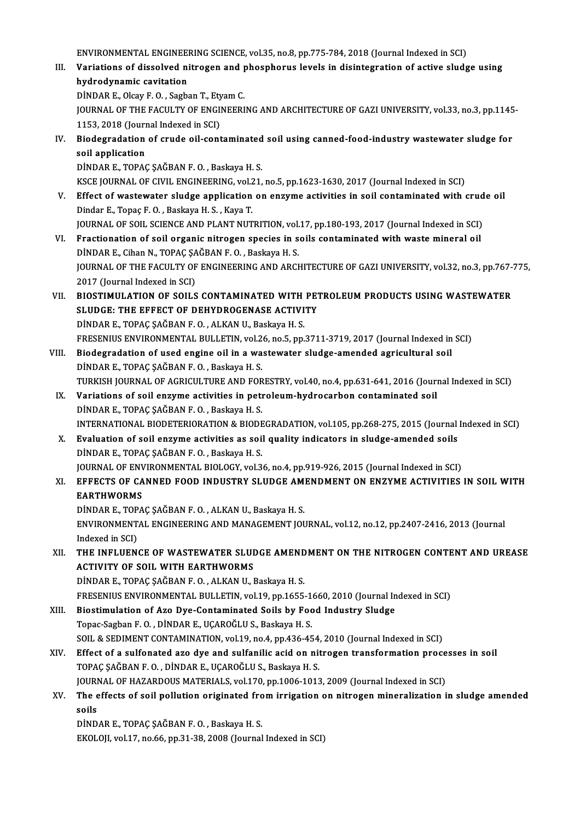ENVIRONMENTAL ENGINEERING SCIENCE, vol.35, no.8, pp.775-784, 2018 (Journal Indexed in SCI)<br>Veriations of dissolved nitroson and phosphonus levels in disintegration of astive slude

III. Variations of dissolved nitrogen and phosphorus levels in disintegration of active sludge using<br>hydrodynamic cavitation ENVIRONMENTAL ENGINEE<br>Variations of dissolved ni<br>hydrodynamic cavitation<br>DiNDAR E. Olsav E.O., Sash

DİNDARE.,OlcayF.O. ,SagbanT.,EtyamC.

hydrodynamic cavitation<br>DİNDAR E., Olcay F. O. , Sagban T., Etyam C.<br>JOURNAL OF THE FACULTY OF ENGINEERING AND ARCHITECTURE OF GAZI UNIVERSITY, vol.33, no.3, pp.1145-<br>1153, 2018 (Journal Indoved in SCI) DINDAR E., Olcay F. O. , Sagban T., Ety<br>JOURNAL OF THE FACULTY OF ENGI<br>1153, 2018 (Journal Indexed in SCI)<br>Piodogradation of crude oil cont JOURNAL OF THE FACULTY OF ENGINEERING AND ARCHITECTURE OF GAZI UNIVERSITY, vol.33, no.3, pp.1145<br>1153, 2018 (Journal Indexed in SCI)<br>IV. Biodegradation of crude oil-contaminated soil using canned-food-industry wastewater s

1153, 2018 (Journ<br>Biodegradation<br>soil application<br>DiNDAR E TORAC Biodegradation of crude oil-contaminated<br>soil application<br>DİNDAR E., TOPAÇ ŞAĞBAN F. O. , Baskaya H. S.<br>KSCE JOURNAL OF CIVIL ENCINEERING .val 21

soil application<br>DİNDAR E., TOPAÇ ŞAĞBAN F. O. , Baskaya H. S.<br>KSCE JOURNAL OF CIVIL ENGINEERING, vol.21, no.5, pp.1623-1630, 2017 (Journal Indexed in SCI)

- DINDAR E., TOPAÇ ŞAĞBAN F. O. , Baskaya H. S.<br>KSCE JOURNAL OF CIVIL ENGINEERING, vol.21, no.5, pp.1623-1630, 2017 (Journal Indexed in SCI)<br>V. Effect of wastewater sludge application on enzyme activities in soil contaminate KSCE JOURNAL OF CIVIL ENGINEERING, vol.2<br>Effect of wastewater sludge application<br>Dindar E., Topaç F. O. , Baskaya H. S. , Kaya T.<br>JOUPNAL OF SOU, SCIENCE AND PLANT NUT Effect of wastewater sludge application on enzyme activities in soil contaminated with crud<br>Dindar E., Topaç F. O. , Baskaya H. S. , Kaya T.<br>JOURNAL OF SOIL SCIENCE AND PLANT NUTRITION, vol.17, pp.180-193, 2017 (Journal In
- Dindar E., Topaç F. O. , Baskaya H. S. , Kaya T.<br>JOURNAL OF SOIL SCIENCE AND PLANT NUTRITION, vol.17, pp.180-193, 2017 (Journal Indexed in SCI)<br>VI. Fractionation of soil organic nitrogen species in soils contaminated with JOURNAL OF SOIL SCIENCE AND PLANT NUTRITION, vol.<br>Fractionation of soil organic nitrogen species in s<br>DİNDAR E., Cihan N., TOPAÇ ŞAĞBAN F. O. , Baskaya H. S.<br>JOURNAL OF THE FACULTY OF ENCINEERING AND ARCH Fractionation of soil organic nitrogen species in soils contaminated with waste mineral oil<br>DİNDAR E., Cihan N., TOPAÇ ŞAĞBAN F. O. , Baskaya H. S.<br>JOURNAL OF THE FACULTY OF ENGINEERING AND ARCHITECTURE OF GAZI UNIVERSITY, DİNDAR E., Cihan N., TOPAÇ ŞA<br>JOURNAL OF THE FACULTY OF<br>2017 (Journal Indexed in SCI)<br>PLOSTIMIJI ATION OF SOIJ S JOURNAL OF THE FACULTY OF ENGINEERING AND ARCHITECTURE OF GAZI UNIVERSITY, vol.32, no.3, pp.767-<br>2017 (Journal Indexed in SCI)<br>VII. BIOSTIMULATION OF SOILS CONTAMINATED WITH PETROLEUM PRODUCTS USING WASTEWATER<br>SUIDCE: THE
- 2017 (Journal Indexed in SCI)<br>VII. BIOSTIMULATION OF SOILS CONTAMINATED WITH PETROLEUM PRODUCTS USING WASTEWATER<br>SLUDGE: THE EFFECT OF DEHYDROGENASE ACTIVITY DİNDAR E., TOPAÇ ŞAĞBAN F. O., ALKAN U., Baskaya H. S. FRESENIUS ENVIRONMENTAL BULLETIN, vol.26, no.5, pp.3711-3719, 2017 (Journal Indexed in SCI)
- VIII. Biodegradation of used engine oil in a wastewater sludge-amended agricultural soil DİNDAR E., TOPAÇ ŞAĞBAN F. O., Baskaya H. S. TURKISH JOURNAL OF AGRICULTURE AND FORESTRY, vol.40, no.4, pp.631-641, 2016 (Journal Indexed in SCI) DINDAR E., TOPAÇ ŞAĞBAN F. O. , Baskaya H. S.<br>TURKISH JOURNAL OF AGRICULTURE AND FORESTRY, vol.40, no.4, pp.631-641, 2016 (Journal IX.<br>IX. Variations of soil enzyme activities in petroleum-hydrocarbon contaminated soil<br>DIN
	- TURKISH JOURNAL OF AGRICULTURE AND FOR<br>Variations of soil enzyme activities in pet<br>DİNDAR E., TOPAÇ ŞAĞBAN F. O. , Baskaya H. S.<br>INTERNATIONAL PIODETERIORATION & RIODE Variations of soil enzyme activities in petroleum-hydrocarbon contaminated soil<br>DİNDAR E., TOPAÇ ŞAĞBAN F. O. , Baskaya H. S.<br>INTERNATIONAL BIODETERIORATION & BIODEGRADATION, vol.105, pp.268-275, 2015 (Journal Indexed in S DINDAR E., TOPAÇ ŞAĞBAN F. O. , Baskaya H. S.<br>INTERNATIONAL BIODETERIORATION & BIODEGRADATION, vol.105, pp.268-275, 2015 (Journal Indexed in SCI)<br>X. Evaluation of soil enzyme activities as soil quality indicators in sludge
	- DİNDAR E., TOPAÇ ŞAĞBAN F. O., Baskaya H. S. Evaluation of soil enzyme activities as soil quality indicators in sludge-amended soils<br>DİNDAR E., TOPAÇ ŞAĞBAN F. O. , Baskaya H. S.<br>JOURNAL OF ENVIRONMENTAL BIOLOGY, vol.36, no.4, pp.919-926, 2015 (Journal Indexed in SCI

# XI. EFFECTS OF CANNED FOOD INDUSTRY SLUDGE AMENDMENT ON ENZYME ACTIVITIES IN SOIL WITH<br>EARTHWORMS **JOURNAL OF ENV<br>EFFECTS OF CA<br>EARTHWORMS**<br>DINDAR E. TOBA EFFECTS OF CANNED FOOD INDUSTRY SLUDGE AM:<br>EARTHWORMS<br>DİNDAR E., TOPAÇ ŞAĞBAN F. O. , ALKAN U., Baskaya H. S.<br>ENVIRONMENTAL ENGINEERING AND MANAGEMENT IQI

ENVIRONMENTAL ENGINEERING AND MANAGEMENT JOURNAL, vol.12, no.12, pp.2407-2416, 2013 (Journal Indexed in SCI) DİNDAR E., TOP<br>ENVIRONMENT<br>Indexed in SCI)<br>THE INEI UEN ENVIRONMENTAL ENGINEERING AND MANAGEMENT JOURNAL, vol.12, no.12, pp.2407-2416, 2013 (Journal Indexed in SCI)<br>XII. THE INFLUENCE OF WASTEWATER SLUDGE AMENDMENT ON THE NITROGEN CONTENT AND UREASE

Indexed in SCI)<br>THE INFLUENCE OF WASTEWATER SLUI<br>ACTIVITY OF SOIL WITH EARTHWORMS<br>DINDARE TORAC SAČRANE O - ALKANIJ J ACTIVITY OF SOIL WITH EARTHWORMS<br>DİNDAR E., TOPAÇ ŞAĞBAN F. O. , ALKAN U., Baskaya H. S. ACTIVITY OF SOIL WITH EARTHWORMS<br>DİNDAR E., TOPAÇ ŞAĞBAN F. O. , ALKAN U., Baskaya H. S.<br>FRESENIUS ENVIRONMENTAL BULLETIN, vol.19, pp.1655-1660, 2010 (Journal Indexed in SCI)<br>Biostimulation of Ago Dye Contaminated Soils by

- DINDAR E., TOPAÇ ŞAĞBAN F. O. , ALKAN U., Baskaya H. S.<br>FRESENIUS ENVIRONMENTAL BULLETIN, vol.19, pp.1655-1660, 2010 (Journal In<br>XIII. Biostimulation of Azo Dye-Contaminated Soils by Food Industry Sludge<br>Topas Sashan E. O. FRESENIUS ENVIRONMENTAL BULLETIN, vol.19, pp.1655-1<br>Biostimulation of Azo Dye-Contaminated Soils by Foc<br>Topac-Sagban F. O. , DİNDAR E., UÇAROĞLU S., Baskaya H. S.<br>SOU & SEDIMENT CONTAMINATION vol.19, po.4, pp.426.45 Biostimulation of Azo Dye-Contaminated Soils by Food Industry Sludge<br>Topac-Sagban F. O. , DINDAR E., UÇAROĞLU S., Baskaya H. S.<br>SOIL & SEDIMENT CONTAMINATION, vol.19, no.4, pp.436-454, 2010 (Journal Indexed in SCI)<br>Effect Topac-Sagban F. O. , DİNDAR E., UÇAROĞLU S., Baskaya H. S.<br>SOIL & SEDIMENT CONTAMINATION, vol.19, no.4, pp.436-454, 2010 (Journal Indexed in SCI)<br>XIV. Effect of a sulfonated azo dye and sulfanilic acid on nitrogen transfor
- SOIL & SEDIMENT CONTAMINATION, vol.19, no.4, pp.436-454<br>Effect of a sulfonated azo dye and sulfanilic acid on nit<br>TOPAÇ ŞAĞBAN F. O. , DİNDAR E., UÇAROĞLU S., Baskaya H. S.<br>JOUPMAL OF HAZAPDOUS MATERIALS. vol.170, np.1006-Effect of a sulfonated azo dye and sulfanilic acid on nitrogen transformation proce<br>TOPAÇ ŞAĞBAN F. O. , DİNDAR E., UÇAROĞLU S., Baskaya H. S.<br>JOURNAL OF HAZARDOUS MATERIALS, vol.170, pp.1006-1013, 2009 (Journal Indexed in TOPAÇ ŞAĞBAN F. O. , DİNDAR E., UÇAROĞLU S., Baskaya H. S.<br>JOURNAL OF HAZARDOUS MATERIALS, vol.170, pp.1006-1013, 2009 (Journal Indexed in SCI)<br>XV. The effects of soil pollution originated from irrigation on nitrogen m
- **JOURI<br>The e<br>soils** The effects of soil pollution originated fro<br>soils<br>DİNDAR E., TOPAÇ ŞAĞBAN F. O. , Baskaya H. S.<br>EKOLOU val 17. no.66. np.31.38.2008 (Journal

soils<br>DİNDAR E., TOPAÇ ŞAĞBAN F. O. , Baskaya H. S.<br>EKOLOJI, vol.17, no.66, pp.31-38, 2008 (Journal Indexed in SCI)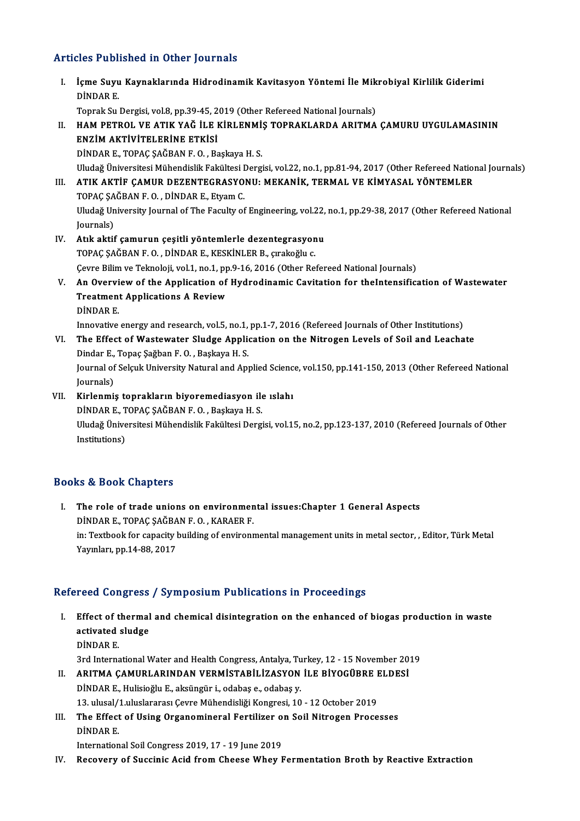## Articles Published in Other Journals

rticles Published in Other Journals<br>I. İçme Suyu Kaynaklarında Hidrodinamik Kavitasyon Yöntemi İle Mikrobiyal Kirlilik Giderimi<br>RİNDAR E içme Suyu<br>DİNDAR E.<br>Tonrak Su İçme Suyu Kaynaklarında Hidrodinamik Kavitasyon Yöntemi İle Mik<br>DİNDAR E.<br>Toprak Su Dergisi, vol.8, pp.39-45, 2019 (Other Refereed National Journals)<br>HAM RETROL VE ATIK VAČ İLE KİRLENMİS TORRAKLARDA ARITMA DİNDAR E.<br>Toprak Su Dergisi, vol.8, pp.39-45, 2019 (Other Refereed National Journals)<br>II. HAM PETROL VE ATIK YAĞ İLE KİRLENMİŞ TOPRAKLARDA ARITMA ÇAMURU UYGULAMASININ<br>ENZİM AKTİVITELERİNE ETKISİ Toprak Su Dergisi, vol.8, pp.39-45, 2<br>HAM PETROL VE ATIK YAĞ İLE I<br>ENZİM AKTİVİTELERİNE ETKİSİ<br>DİNDAR E. TORAÇ SAĞRAN E.O., Be HAM PETROL VE ATIK YAĞ İLE KİRLENMİ:<br>ENZİM AKTİVİTELERİNE ETKİSİ<br>DİNDAR E., TOPAÇ ŞAĞBAN F. O. , Başkaya H. S.<br>Uludağ Üniversitesi Mühandislik Eskültesi Darg ENZİM AKTİVİTELERİNE ETKİSİ<br>DİNDAR E., TOPAÇ ŞAĞBAN F. O. , Başkaya H. S.<br>Uludağ Üniversitesi Mühendislik Fakültesi Dergisi, vol.22, no.1, pp.81-94, 2017 (Other Refereed National Journals)<br>ATIK AKTİE CAMUR DEZENTECRASYONU. DİNDAR E., TOPAÇ ŞAĞBAN F. O. , Başkaya H. S.<br>Uludağ Üniversitesi Mühendislik Fakültesi Dergisi, vol.22, no.1, pp.81-94, 2017 (Other Refereed Natio<br>III. ATIK AKTİF ÇAMUR DEZENTEGRASYONU: MEKANİK, TERMAL VE KİMYASAL YÖN Uludağ Üniversitesi Mühendislik Fakültesi I<br>ATIK AKTİF ÇAMUR DEZENTEGRASYO<br>TOPAÇ ŞAĞBAN F. O. , DİNDAR E., Etyam C.<br>Uludağ University Journal of The Faculty of Uludağ University Journal of The Faculty of Engineering, vol.22, no.1, pp.29-38, 2017 (Other Refereed National Journals) TOPAÇ ŞAĞBAN F.O., DİNDAR E., Etyam C. IV. Atık aktif çamurun çeşitli yöntemlerle dezentegrasyonu TOPAÇ ŞAĞBAN F.O., DİNDAR E., KESKİNLER B., çırakoğlu c. Cevre Bilim ve Teknoloji, vol.1, no.1, pp.9-16, 2016 (Other Refereed National Journals) TOPAÇ ŞAĞBAN F. O. , DİNDAR E., KESKİNLER B., çırakoğlu c.<br>Cevre Bilim ve Teknoloji, vol.1, no.1, pp.9-16, 2016 (Other Refereed National Journals)<br>V. An Overview of the Application of Hydrodinamic Cavitation for theInt Cevre Bilim ve Teknoloji, vol.1, no.1, pp<br>An Overview of the Application of<br>Treatment Applications A Review An Overvi<br>Treatmen<br>DİNDAR E.<br>Innovative Treatment Applications A Review<br>DINDAR E.<br>Innovative energy and research, vol.5, no.1, pp.1-7, 2016 (Refereed Journals of Other Institutions)<br>The Effect of Westewster Sludge Application on the Nitregen Lavels of Seil and L DINDAR E.<br>Innovative energy and research, vol.5, no.1, pp.1-7, 2016 (Refereed Journals of Other Institutions)<br>VI. The Effect of Wastewater Sludge Application on the Nitrogen Levels of Soil and Leachate<br>Dindar E., Topaç Şağ Innovative energy and research, vol.5, no.1,<br>The Effect of Wastewater Sludge Applic<br>Dindar E., Topaç Şağban F. O. , Başkaya H. S.<br>Journal of Solmk University Natural and App The Effect of Wastewater Sludge Application on the Nitrogen Levels of Soil and Leachate<br>Dindar E., Topaç Şağban F. O. , Başkaya H. S.<br>Journal of Selçuk University Natural and Applied Science, vol.150, pp.141-150, 2013 (Oth Dindar E.,<br>Journal of<br>Journals)<br>Kirlonmi Journal of Selçuk University Natural and Applied Scienc<br>Journals)<br>VII. Kirlenmiş toprakların biyoremediasyon ile ıslahı<br>DİNDAR E. TORAC SAČRAN E.O. Beskaya H.S. Journals)<br><mark>Kirlenmiş toprakların biyoremediasyon il</mark>d<br>DİNDAR E., TOPAÇ ŞAĞBAN F. O. , Başkaya H. S.<br>Hludağ Üniversitesi Mühandialik Fakültesi Dergi VII. Kirlenmiş toprakların biyoremediasyon ile ıslahı<br>DİNDAR E., TOPAÇ ŞAĞBAN F. O. , Başkaya H. S.<br>Uludağ Üniversitesi Mühendislik Fakültesi Dergisi, vol.15, no.2, pp.123-137, 2010 (Refereed Journals of Other<br>Institutions DİNDAR E., T<br>Uludağ Ünive<br>Institutions)

# Books&Book Chapters

OOks & Book Chapters<br>I. The role of trade unions on environmental issues:Chapter 1 General Aspects<br>RINDARE, TORAC SAČRANE O. KARAERE The role of trade unions on environmen<br>DİNDAR E., TOPAÇ ŞAĞBAN F. O. , KARAER F.<br>in: Textbook for canosity building of environment DINDAR E., TOPAÇ ŞAĞBAN F. O. , KARAER F.<br>in: Textbook for capacity building of environmental management units in metal sector, , Editor, Türk Metal Yayınları, pp.14-88, 2017

# Refereed Congress / Symposium Publications in Proceedings

- efereed Congress / Symposium Publications in Proceedings<br>I. Effect of thermal and chemical disintegration on the enhanced of biogas production in waste recursongress<br>Effect of thermal<br>activated sludge<br>DiNDAB F Effect of t<br>activated<br>DİNDAR E.<br><sup>2rd Interne</sup> activated sludge<br>DİNDAR E.<br>3rd International Water and Health Congress, Antalya, Turkey, 12 - 15 November 2019 DİNDAR E.<br>3rd International Water and Health Congress, Antalya, Turkey, 12 - 15 November 20<br>11. ARITMA ÇAMURLARINDAN VERMİSTABİLİZASYON İLE BİYOGÜBRE ELDESİ<br>11. ARITMAR E. Hulisiağlu E. aksüngür i. edabas e. edabas y
- DİNDARE.,HulisioğluE.,aksüngür i.,odabaş e.,odabaş y. ARITMA ÇAMURLARINDAN VERMİSTABİLİZASYON İLE BİYOGÜBRE I<br>DİNDAR E., Hulisioğlu E., aksüngür i., odabaş e., odabaş y.<br>13. ulusal/1.uluslararası Çevre Mühendisliği Kongresi, 10 - 12 October 2019<br>The Effect of Heing Oxganomina 13. ulusal/1 uluslararası Çevre Mühendisliği Kongresi, 10 - 12 October 2019
- III. The Effect of Using Organomineral Fertilizer on Soil Nitrogen Processes<br>DINDAR E.

International Soil Congress 2019, 17 - 19 June 2019

IV. Recovery of Succinic Acid from Cheese Whey Fermentation Broth by Reactive Extraction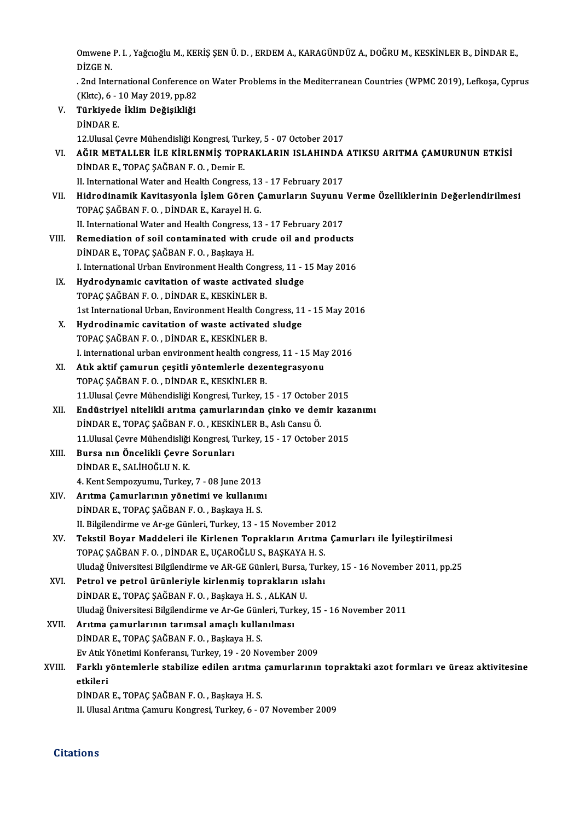Omwene P. I. , Yağcıoğlu M., KERİŞ ŞEN Ü. D. , ERDEM A., KARAGÜNDÜZ A., DOĞRU M., KESKİNLER B., DİNDAR E.,<br>DİZÇE N Omwene<br>DİZGE N. Omwene P. I. , Yağcıoğlu M., KERİŞ ŞEN Ü. D. , ERDEM A., KARAGÜNDÜZ A., DOĞRU M., KESKİNLER B., DİNDAR E.,<br>DİZGE N.<br>. 2nd International Conference on Water Problems in the Mediterranean Countries (WPMC 2019), Lefkoşa, Cypr

DİZGE N.<br>. 2nd International Conference<br>(Kktc), 6 - 10 May 2019, pp.82<br>Türkiyede İklim Dežisikliği

. 2nd International Conference on Water Problems in the Mediterranean Countries (WPMC 2019), Lefkoşa, Cyprus<br>(Kktc), 6 - 10 May 2019, pp.82<br>V. Türkiyede İklim Değişikliği<br>DİNDAR E. (Kktc), 6 - 1<br>Türkiyede<br>DİNDAR E.<br>12 Ulusal C 12. Ulusal Çevre Mühendisliği Kongresi, Turkey, 5 - 07 October 2017 DİNDAR E.<br>12.Ulusal Çevre Mühendisliği Kongresi, Turkey, 5 - 07 October 2017<br>VI. AĞIR METALLER İLE KİRLENMİŞ TOPRAKLARIN ISLAHINDA ATIKSU ARITMA ÇAMURUNUN ETKİSİ<br>DİNDAR E. TORAÇ SAĞRAN E.O. Domir E 12.Ulusal Çevre Mühendisliği Kongresi, Tur<br>AĞIR METALLER İLE KİRLENMİŞ TOPF<br>DİNDAR E., TOPAÇ ŞAĞBAN F. O. , Demir E.<br>U. International Water and Health Congress AĞIR METALLER İLE KİRLENMİŞ TOPRAKLARIN ISLAHINDA<br>DİNDAR E., TOPAÇ ŞAĞBAN F. O. , Demir E.<br>II. International Water and Health Congress, 13 - 17 February 2017<br>Hidrodinamik Kavitasyonla İslam Gören Camurların Suvunu DİNDAR E., TOPAÇ ŞAĞBAN F. O. , Demir E.<br>II. International Water and Health Congress, 13 - 17 February 2017<br>VII. Hidrodinamik Kavitasyonla İşlem Gören Çamurların Suyunu Verme Özelliklerinin Değerlendirilmesi<br>TOPAC SAĞB II. International Water and Health Congress, 13 - 17 February 2017<br>Hidrodinamik Kavitasyonla İşlem Gören Çamurların Suyunu<br>TOPAÇ ŞAĞBAN F. O. , DİNDAR E., Karayel H. G.<br>II. International Water and Health Congress, 13 - 17 Hidrodinamik Kavitasyonla İşlem Gören Çamurların Suyunu<br>TOPAÇ ŞAĞBAN F. O. , DİNDAR E., Karayel H. G.<br>II. International Water and Health Congress, 13 - 17 February 2017<br>Bemediation of seil sentaminated with suude eil and p

- TOPAÇ ŞAĞBAN F. O. , DİNDAR E., Karayel H. G.<br>II. International Water and Health Congress, 13 17 February 2017<br>VIII. Remediation of soil contaminated with crude oil and products<br>DINDAR E. TORAC SAČRAN E.O., Beskaye H II. International Water and Health Congress, 1<br>Remediation of soil contaminated with c<br>DİNDAR E., TOPAÇ ŞAĞBAN F. O. , Başkaya H.<br>Linternational Urban Environment Health Co Remediation of soil contaminated with crude oil and products<br>DİNDAR E., TOPAÇ ŞAĞBAN F. O. , Başkaya H.<br>I. International Urban Environment Health Congress, 11 - 15 May 2016<br>Hudnodunamia cavitation of wasta astivated aludge DİNDAR E., TOPAÇ ŞAĞBAN F. O. , Başkaya H.<br>I. International Urban Environment Health Congress, 11 - 1<br>IX. Hydrodynamic cavitation of waste activated sludge<br>TOPAC SAĞBAN E.O. DİNDAR E. KESKİNLER B
- I. International Urban Environment Health Congreut<br>Hydrodynamic cavitation of waste activated<br>TOPAÇ ŞAĞBAN F. O. , DİNDAR E., KESKİNLER B.<br>1st International Urban, Environment Health Cor TOPAÇ ŞAĞBAN F. O., DİNDAR E., KESKİNLER B.<br>1st International Urban, Environment Health Congress, 11 - 15 May 2016 TOPAÇ ŞAĞBAN F. O. , DİNDAR E., KESKİNLER B.<br>1st International Urban, Environment Health Congress, 11<br>X. Hydrodinamic cavitation of waste activated sludge<br>TOPAC SAĞBAN E.O. DİNDAR E. KESKİNLER B.
- 1st International Urban, Environment Health Cor<br>Hydrodinamic cavitation of waste activated<br>TOPAÇ ŞAĞBAN F. O. , DİNDAR E., KESKİNLER B.<br>Linternational urban environment bealth congre TOPAÇ ŞAĞBAN F. O., DİNDAR E., KESKİNLER B.<br>I. international urban environment health congress, 11 - 15 May 2016
	-
- TOPAÇ ŞAĞBAN F. O. , DİNDAR E., KESKİNLER B.<br>I. international urban environment health congress, 11 15 May<br>XI. Atık aktif çamurun çeşitli yöntemlerle dezentegrasyonu<br>TOBAC SAĞBAN E.O. DİNDAR E. KESKİNLER R I. international urban environment health congre<br>Atık aktif çamurun çeşitli yöntemlerle deze<br>TOPAÇ ŞAĞBAN F. O. , DİNDAR E., KESKİNLER B.<br>11 Hlusal Ceure Mühendisliği Kongresi Turkey 1 TOPAÇ ŞAĞBAN F. O., DİNDAR E., KESKİNLER B.<br>11.Ulusal Çevre Mühendisliği Kongresi, Turkey, 15 - 17 October 2015 TOPAÇ ŞAĞBAN F. O. , DİNDAR E., KESKİNLER B.<br>11.Ulusal Çevre Mühendisliği Kongresi, Turkey, 15 - 17 October 2015<br>XII. Bu Endüstriyel nitelikli arıtma çamurlarından çinko ve demir kazanımı<br>DİNDAR E. TORAÇ SAĞBAN E. O. KESKİ
- 11.Ulusal Çevre Mühendisliği Kongresi, Turkey, 15 17 Octobe.<br>Endüstriyel nitelikli arıtma çamurlarından çinko ve den<br>DİNDAR E., TOPAÇ ŞAĞBAN F. O. , KESKİNLER B., Aslı Cansu Ö.<br>11 Ulusal Çavre Mühendisliği Kongresi Turke Endüstriyel nitelikli arıtma çamurlarından çinko ve demir kaz<br>DİNDAR E., TOPAÇ ŞAĞBAN F. O. , KESKİNLER B., Aslı Cansu Ö.<br>11.Ulusal Çevre Mühendisliği Kongresi, Turkey, 15 - 17 October 2015<br>Burge nın Öngelikli Cevre Serunl DİNDAR E., TOPAÇ ŞAĞBAN F. O. , KESKİ<br>11.Ulusal Çevre Mühendisliği Kongresi, T<br>XIII. Bursa nın Öncelikli Çevre Sorunları<br>DİNDAR E. SALİHOĞLUN K
- 11.Ulusal Çevre Mühendisliği<br>Bursa nın Öncelikli Çevre<br>DİNDAR E., SALİHOĞLU N. K.<br>4. Kant Samnazınımı: Turkay Bursa nın Öncelikli Çevre Sorunları<br>DİNDAR E., SALİHOĞLU N. K.<br>4. Kent Sempozyumu, Turkey, 7 - 08 June 2013<br>Anıtma Camunlanının vönatimi ve kullanım DİNDAR E., SALİHOĞLU N. K.<br>4. Kent Sempozyumu, Turkey, 7 - 08 June 2013<br>XIV. Arıtma Çamurlarının yönetimi ve kullanımı<br>DİNDAR E. TORAC SAČRAN E.O., Beskave H. S.
- 4. Kent Sempozyumu, Turkey, 7 08 June 2013<br>Arıtma Çamurlarının yönetimi ve kullanım<br>DİNDAR E., TOPAÇ ŞAĞBAN F. O. , Başkaya H. S.<br>H. Bilzilandiume ve Ar 70 Günlari Turkey, 12 1 DİNDAR E., TOPAÇ ŞAĞBAN F. O. , Başkaya H. S.<br>II. Bilgilendirme ve Ar-ge Günleri, Turkey, 13 - 15 November 2012 DİNDAR E., TOPAÇ ŞAĞBAN F. O. , Başkaya H. S.<br>II. Bilgilendirme ve Ar-ge Günleri, Turkey, 13 - 15 November 2012<br>XV. Tekstil Boyar Maddeleri ile Kirlenen Toprakların Arıtma Çamurları ile İyileştirilmesi<br>TOPAC SAĞBAN E.
- II. Bilgilendirme ve Ar-ge Günleri, Turkey, 13 15 November 20<br>Tekstil Boyar Maddeleri ile Kirlenen Toprakların Arıtma<br>TOPAÇ ŞAĞBAN F. O. , DİNDAR E., UÇAROĞLU S., BAŞKAYA H. S.<br>Uludağ Üniversitesi Bilgilandirme ve AR GE Tekstil Boyar Maddeleri ile Kirlenen Toprakların Arıtma Çamurları ile İyileştirilmesi<br>TOPAÇ ŞAĞBAN F. O. , DİNDAR E., UÇAROĞLU S., BAŞKAYA H. S.<br>Uludağ Üniversitesi Bilgilendirme ve AR-GE Günleri, Bursa, Turkey, 15 - 16 No TOPAÇ ŞAĞBAN F. O. , DİNDAR E., UÇAROĞLU S., BAŞKAYA H. S.<br>Uludağ Üniversitesi Bilgilendirme ve AR-GE Günleri, Bursa, Turk<br>XVI. Petrol ve petrol ürünleriyle kirlenmiş toprakların ıslahı<br>DİNDAR E. TORAÇ SAĞBAN E. O., Başkay
- Uludağ Üniversitesi Bilgilendirme ve AR-GE Günleri, Bursa,<br>Petrol **ve petrol ürünleriyle kirlenmiş toprakların ıs**<br>DİNDAR E., TOPAÇ ŞAĞBAN F. O. , Başkaya H. S. , ALKAN U.<br>Uludağ Üniversitesi Bilgilandirme ve Ar Ce Günleri DİNDAR E., TOPAÇ ŞAĞBAN F. O. , Başkaya H. S. , ALKAN U.<br>Uludağ Üniversitesi Bilgilendirme ve Ar-Ge Günleri, Turkey, 15 - 16 November 2011 DİNDAR E., TOPAÇ ŞAĞBAN F. O. , Başkaya H. S. , ALKAN<br>Uludağ Üniversitesi Bilgilendirme ve Ar-Ge Günleri, Turl<br>XVII. Arıtma çamurlarının tarımsal amaçlı kullanılması<br>DİNDAR E. TORAÇ SAĞBAN E. O. Başkaya H. S.
- Uludağ Üniversitesi Bilgilendirme ve Ar-Ge Günl<br>Arıtma çamurlarının tarımsal amaçlı kulla:<br>DİNDAR E., TOPAÇ ŞAĞBAN F. O. , Başkaya H. S.<br>Ev Atlı Vönetimi Konferansı Turkey, 19, 20 No Arıtma çamurlarının tarımsal amaçlı kullanılması<br>DİNDAR E., TOPAÇ ŞAĞBAN F. O. , Başkaya H. S.<br>Ev Atık Yönetimi Konferansı, Turkey, 19 - 20 November 2009<br>Farklı yöntemlerle stabilire edilen arıtma samurlarının

DİNDAR E., TOPAÇ ŞAĞBAN F. O. , Başkaya H. S.<br>Ev Atık Yönetimi Konferansı, Turkey, 19 - 20 November 2009<br>Atkilori Ev Atık Y<br><mark>Farklı y</mark><br>etkileri Farklı yöntemlerle stabilize edilen arıtma<br>etkileri<br>DİNDAR E., TOPAÇ ŞAĞBAN F. O. , Başkaya H. S.<br>H. Hlusel Aritma Comuru Kongresi Turkey 6 - 0 etkileri<br>DİNDAR E., TOPAÇ ŞAĞBAN F. O. , Başkaya H. S.<br>II. Ulusal Arıtma Çamuru Kongresi, Turkey, 6 - 07 November 2009

### **Citations**